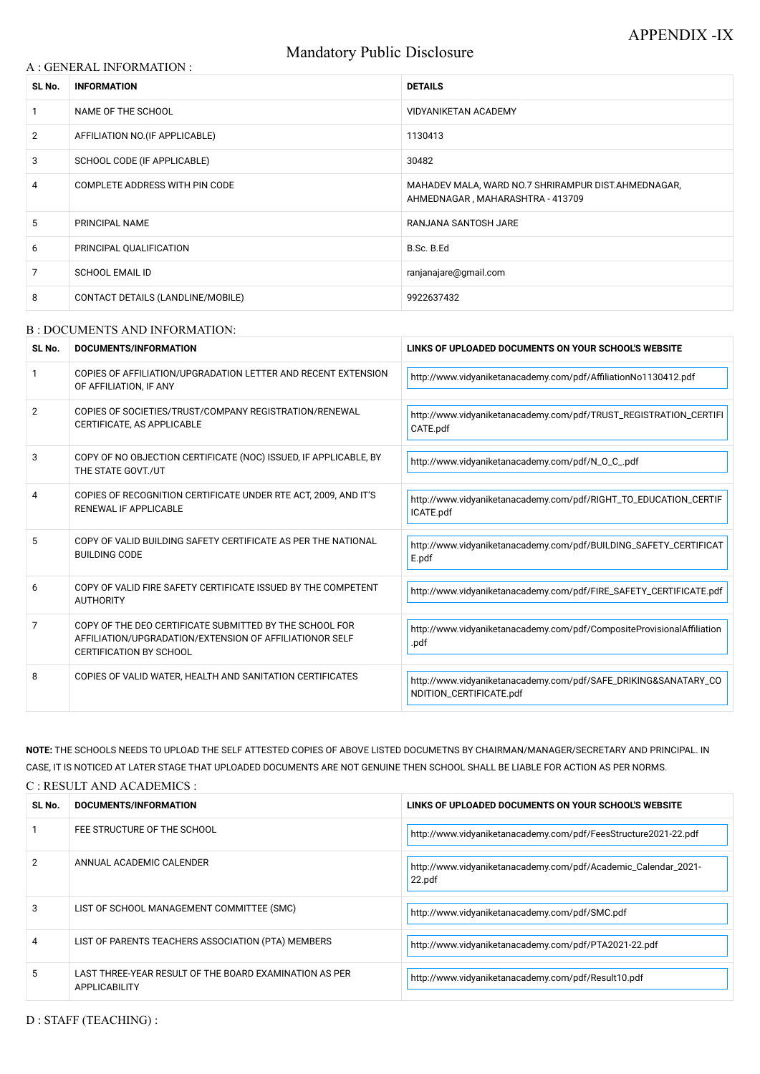# Mandatory Public Disclosure

#### A : GENERAL INFORMATION :

| SL No.         | <b>INFORMATION</b>                | <b>DETAILS</b>                                                                          |
|----------------|-----------------------------------|-----------------------------------------------------------------------------------------|
|                | NAME OF THE SCHOOL                | <b>VIDYANIKETAN ACADEMY</b>                                                             |
| $\overline{2}$ | AFFILIATION NO. (IF APPLICABLE)   | 1130413                                                                                 |
| 3              | SCHOOL CODE (IF APPLICABLE)       | 30482                                                                                   |
| 4              | COMPLETE ADDRESS WITH PIN CODE    | MAHADEV MALA, WARD NO.7 SHRIRAMPUR DIST.AHMEDNAGAR,<br>AHMEDNAGAR, MAHARASHTRA - 413709 |
| 5              | PRINCIPAL NAME                    | RANJANA SANTOSH JARE                                                                    |
| 6              | PRINCIPAL QUALIFICATION           | B.Sc. B.Ed                                                                              |
| 7              | <b>SCHOOL EMAIL ID</b>            | ranjanajare@gmail.com                                                                   |
| 8              | CONTACT DETAILS (LANDLINE/MOBILE) | 9922637432                                                                              |

#### B : DOCUMENTS AND INFORMATION:

| SL No.         | DOCUMENTS/INFORMATION                                                                                                                                | LINKS OF UPLOADED DOCUMENTS ON YOUR SCHOOL'S WEBSITE                                       |  |
|----------------|------------------------------------------------------------------------------------------------------------------------------------------------------|--------------------------------------------------------------------------------------------|--|
|                | COPIES OF AFFILIATION/UPGRADATION LETTER AND RECENT EXTENSION<br>OF AFFILIATION, IF ANY                                                              | http://www.vidyaniketanacademy.com/pdf/AffiliationNo1130412.pdf                            |  |
| $\overline{2}$ | COPIES OF SOCIETIES/TRUST/COMPANY REGISTRATION/RENEWAL<br>CERTIFICATE, AS APPLICABLE                                                                 | http://www.vidyaniketanacademy.com/pdf/TRUST_REGISTRATION_CERTIFI<br>CATE.pdf              |  |
| 3              | COPY OF NO OBJECTION CERTIFICATE (NOC) ISSUED, IF APPLICABLE, BY<br>THE STATE GOVT./UT                                                               | http://www.vidyaniketanacademy.com/pdf/N_O_C_.pdf                                          |  |
| 4              | COPIES OF RECOGNITION CERTIFICATE UNDER RTE ACT, 2009, AND IT'S<br><b>RENEWAL IF APPLICABLE</b>                                                      | http://www.vidyaniketanacademy.com/pdf/RIGHT_TO_EDUCATION_CERTIF<br>ICATE.pdf              |  |
| 5              | COPY OF VALID BUILDING SAFETY CERTIFICATE AS PER THE NATIONAL<br><b>BUILDING CODE</b>                                                                | http://www.vidyaniketanacademy.com/pdf/BUILDING_SAFETY_CERTIFICAT<br>E.pdf                 |  |
| 6              | COPY OF VALID FIRE SAFETY CERTIFICATE ISSUED BY THE COMPETENT<br><b>AUTHORITY</b>                                                                    | http://www.vidyaniketanacademy.com/pdf/FIRE_SAFETY_CERTIFICATE.pdf                         |  |
| $\overline{7}$ | COPY OF THE DEO CERTIFICATE SUBMITTED BY THE SCHOOL FOR<br>AFFILIATION/UPGRADATION/EXTENSION OF AFFILIATIONOR SELF<br><b>CERTIFICATION BY SCHOOL</b> | http://www.vidyaniketanacademy.com/pdf/CompositeProvisionalAffiliation<br>.pdf             |  |
| 8              | COPIES OF VALID WATER, HEALTH AND SANITATION CERTIFICATES                                                                                            | http://www.vidyaniketanacademy.com/pdf/SAFE_DRIKING&SANATARY_CO<br>NDITION_CERTIFICATE.pdf |  |

| SL No. | DOCUMENTS/INFORMATION                                                          | LINKS OF UPLOADED DOCUMENTS ON YOUR SCHOOL'S WEBSITE                     |
|--------|--------------------------------------------------------------------------------|--------------------------------------------------------------------------|
|        | FEE STRUCTURE OF THE SCHOOL                                                    | http://www.vidyaniketanacademy.com/pdf/FeesStructure2021-22.pdf          |
|        | ANNUAL ACADEMIC CALENDER                                                       | http://www.vidyaniketanacademy.com/pdf/Academic_Calendar_2021-<br>22.pdf |
| 3      | LIST OF SCHOOL MANAGEMENT COMMITTEE (SMC)                                      | http://www.vidyaniketanacademy.com/pdf/SMC.pdf                           |
|        | LIST OF PARENTS TEACHERS ASSOCIATION (PTA) MEMBERS                             | http://www.vidyaniketanacademy.com/pdf/PTA2021-22.pdf                    |
|        | LAST THREE-YEAR RESULT OF THE BOARD EXAMINATION AS PER<br><b>APPLICABILITY</b> | http://www.vidyaniketanacademy.com/pdf/Result10.pdf                      |

D : STAFF (TEACHING) :

**NOTE:** THE SCHOOLS NEEDS TO UPLOAD THE SELF ATTESTED COPIES OF ABOVE LISTED DOCUMETNS BY CHAIRMAN/MANAGER/SECRETARY AND PRINCIPAL. IN CASE, IT IS NOTICED AT LATER STAGE THAT UPLOADED DOCUMENTS ARE NOT GENUINE THEN SCHOOL SHALL BE LIABLE FOR ACTION AS PER NORMS.

C : RESULT AND ACADEMICS :